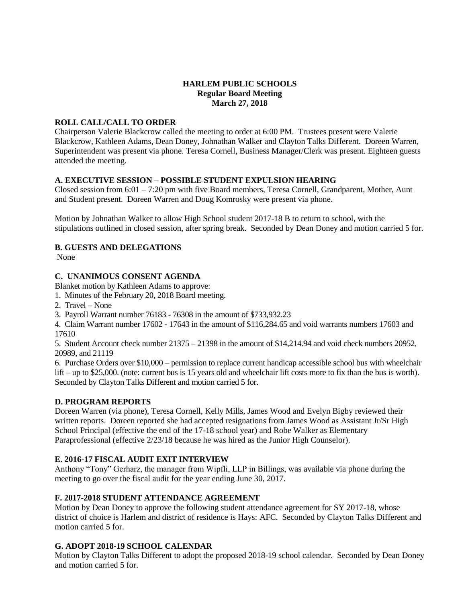## **HARLEM PUBLIC SCHOOLS Regular Board Meeting March 27, 2018**

## **ROLL CALL/CALL TO ORDER**

Chairperson Valerie Blackcrow called the meeting to order at 6:00 PM. Trustees present were Valerie Blackcrow, Kathleen Adams, Dean Doney, Johnathan Walker and Clayton Talks Different. Doreen Warren, Superintendent was present via phone. Teresa Cornell, Business Manager/Clerk was present. Eighteen guests attended the meeting.

## **A. EXECUTIVE SESSION – POSSIBLE STUDENT EXPULSION HEARING**

Closed session from 6:01 – 7:20 pm with five Board members, Teresa Cornell, Grandparent, Mother, Aunt and Student present. Doreen Warren and Doug Komrosky were present via phone.

Motion by Johnathan Walker to allow High School student 2017-18 B to return to school, with the stipulations outlined in closed session, after spring break. Seconded by Dean Doney and motion carried 5 for.

## **B. GUESTS AND DELEGATIONS**

None

## **C. UNANIMOUS CONSENT AGENDA**

Blanket motion by Kathleen Adams to approve:

- 1. Minutes of the February 20, 2018 Board meeting.
- 2. Travel None
- 3. Payroll Warrant number 76183 76308 in the amount of \$733,932.23

4. Claim Warrant number 17602 - 17643 in the amount of \$116,284.65 and void warrants numbers 17603 and 17610

5. Student Account check number 21375 – 21398 in the amount of \$14,214.94 and void check numbers 20952, 20989, and 21119

6. Purchase Orders over \$10,000 – permission to replace current handicap accessible school bus with wheelchair lift – up to \$25,000. (note: current bus is 15 years old and wheelchair lift costs more to fix than the bus is worth). Seconded by Clayton Talks Different and motion carried 5 for.

## **D. PROGRAM REPORTS**

Doreen Warren (via phone), Teresa Cornell, Kelly Mills, James Wood and Evelyn Bigby reviewed their written reports. Doreen reported she had accepted resignations from James Wood as Assistant Jr/Sr High School Principal (effective the end of the 17-18 school year) and Robe Walker as Elementary Paraprofessional (effective 2/23/18 because he was hired as the Junior High Counselor).

## **E. 2016-17 FISCAL AUDIT EXIT INTERVIEW**

Anthony "Tony" Gerharz, the manager from Wipfli, LLP in Billings, was available via phone during the meeting to go over the fiscal audit for the year ending June 30, 2017.

## **F. 2017-2018 STUDENT ATTENDANCE AGREEMENT**

Motion by Dean Doney to approve the following student attendance agreement for SY 2017-18, whose district of choice is Harlem and district of residence is Hays: AFC. Seconded by Clayton Talks Different and motion carried 5 for.

# **G. ADOPT 2018-19 SCHOOL CALENDAR**

Motion by Clayton Talks Different to adopt the proposed 2018-19 school calendar. Seconded by Dean Doney and motion carried 5 for.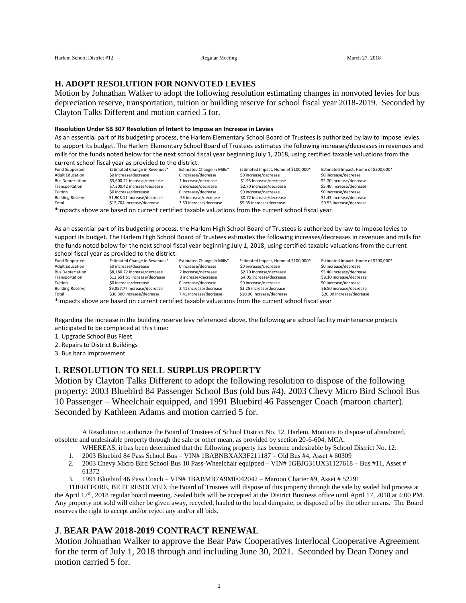## **H. ADOPT RESOLUTION FOR NONVOTED LEVIES**

Motion by Johnathan Walker to adopt the following resolution estimating changes in nonvoted levies for bus depreciation reserve, transportation, tuition or building reserve for school fiscal year 2018-2019. Seconded by Clayton Talks Different and motion carried 5 for.

#### **Resolution Under SB 307 Resolution of Intent to Impose an Increase in Levies**

As an essential part of its budgeting process, the Harlem Elementary School Board of Trustees is authorized by law to impose levies to support its budget. The Harlem Elementary School Board of Trustees estimates the following increases/decreases in revenues and mills for the funds noted below for the next school fiscal year beginning July 1, 2018, using certified taxable valuations from the current school fiscal year as provided to the district:

| Fund Supported          | Estimated Change in Revenues*                                                                                                                                                                                                        | Estimated Change in Mills* | Estimated Impact, Home of \$100,000* | Estimated Impact, Home of \$200,000* |
|-------------------------|--------------------------------------------------------------------------------------------------------------------------------------------------------------------------------------------------------------------------------------|----------------------------|--------------------------------------|--------------------------------------|
| <b>Adult Education</b>  | \$0 increase/decrease                                                                                                                                                                                                                | 0 increase/decrease        | \$0 increase/decrease                | \$0 increase/decrease                |
| <b>Bus Depreciation</b> | \$3,600.21 increase/decrease                                                                                                                                                                                                         | 1 increase/decrease        | \$1.93 increase/decrease             | \$2.70 increase/decrease             |
| Transportation          | \$7,200.42 increase/decrease                                                                                                                                                                                                         | 2 increase/decrease        | \$2.70 increase/decrease             | \$5.40 increase/decrease             |
| Tuition                 | \$0 increase/decrease                                                                                                                                                                                                                | 0 increase/decrease        | \$0 increase/decrease                | \$0 increase/decrease                |
| <b>Building Reserve</b> | \$1,908.11 increase/decrease                                                                                                                                                                                                         | .53 increase/decrease      | \$0.72 increase/decrease             | \$1.43 increase/decrease             |
| Total                   | \$12,704 increase/decrease                                                                                                                                                                                                           | 3.53 increase/decrease     | \$5.35 increase/decrease             | \$9.53 increase/decrease             |
| $-1 - 1$                | $\blacksquare$ . The contract of the contract of the contract of the contract of the contract of the contract of the contract of the contract of the contract of the contract of the contract of the contract of the contract of the |                            |                                      |                                      |

\*impacts above are based on current certified taxable valuations from the current school fiscal year.

As an essential part of its budgeting process, the Harlem High School Board of Trustees is authorized by law to impose levies to support its budget. The Harlem High School Board of Trustees estimates the following increases/decreases in revenues and mills for the funds noted below for the next school fiscal year beginning July 1, 2018, using certified taxable valuations from the current school fiscal year as provided to the district:

| Fund Supported          | Estimated Change in Revenues* | Estimated Change in Mills* | Estimated Impact, Home of \$100,000* | Estimated Impact, Home of \$200,000* |
|-------------------------|-------------------------------|----------------------------|--------------------------------------|--------------------------------------|
| <b>Adult Education</b>  | \$0 increase/decrease         | 0 increase/decrease        | \$0 increase/decrease                | \$0 increase/decrease                |
| <b>Bus Depreciation</b> | \$8.180.72 increase/decrease  | 2 increase/decrease        | \$2.70 increase/decrease             | \$5.40 increase/decrease             |
| Transportation          | \$12,651.51 increase/decrease | 3 increase/decrease        | \$4.05 increase/decrease             | \$8.10 increase/decrease             |
| Tuition                 | \$0 increase/decrease         | 0 increase/decrease        | \$0 increase/decrease                | \$0 increase/decrease                |
| <b>Building Reserve</b> | \$9,857.77 increase/decrease  | 2.41 increase/decrease     | \$3.25 increase/decrease             | \$6.50 increase/decrease             |
| Total                   | \$30,300 increase/decrease    | 7.41 increase/decrease     | \$10.00 increase/decrease            | \$20.00 increase/decrease            |
|                         |                               |                            |                                      |                                      |

\*impacts above are based on current certified taxable valuations from the current school fiscal year

Regarding the increase in the building reserve levy referenced above, the following are school facility maintenance projects anticipated to be completed at this time:

1. Upgrade School Bus Fleet

2. Repairs to District Buildings

3. Bus barn improvement

# **I. RESOLUTION TO SELL SURPLUS PROPERTY**

Motion by Clayton Talks Different to adopt the following resolution to dispose of the following property: 2003 Bluebird 84 Passenger School Bus (old bus #4), 2003 Chevy Micro Bird School Bus 10 Passenger – Wheelchair equipped, and 1991 Bluebird 46 Passenger Coach (maroon charter). Seconded by Kathleen Adams and motion carried 5 for.

A Resolution to authorize the Board of Trustees of School District No. 12, Harlem, Montana to dispose of abandoned, obsolete and undesirable property through the sale or other mean, as provided by section 20-6-604, MCA.

- WHEREAS, it has been determined that the following property has become undesirable by School District No. 12:
- 1. 2003 Bluebird 84 Pass School Bus VIN# 1BABNBXAX3F211187 Old Bus #4, Asset # 60309
- 2. 2003 Chevy Micro Bird School Bus 10 Pass-Wheelchair equipped VIN# 1GBJG31UX31127618 Bus #11, Asset # 61372
- 3. 1991 Bluebird 46 Pass Coach VIN# 1BABMB7A9MF042042 Maroon Charter #9, Asset # 52291

THEREFORE, BE IT RESOLVED, the Board of Trustees will dispose of this property through the sale by sealed bid process at the April 17th, 2018 regular board meeting. Sealed bids will be accepted at the District Business office until April 17, 2018 at 4:00 PM. Any property not sold will either be given away, recycled, hauled to the local dumpsite, or disposed of by the other means. The Board reserves the right to accept and/or reject any and/or all bids.

# **J**. **BEAR PAW 2018-2019 CONTRACT RENEWAL**

Motion Johnathan Walker to approve the Bear Paw Cooperatives Interlocal Cooperative Agreement for the term of July 1, 2018 through and including June 30, 2021. Seconded by Dean Doney and motion carried 5 for.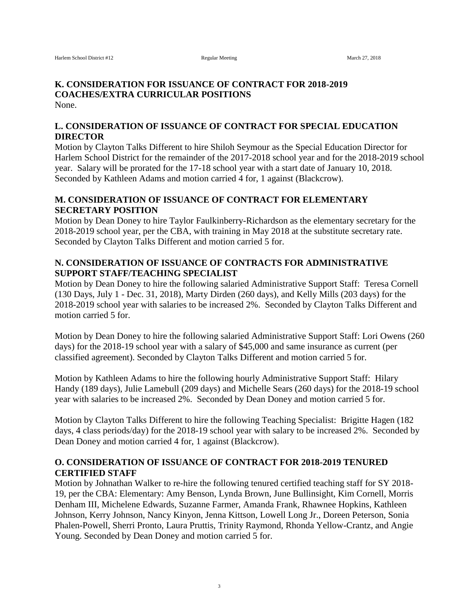## **K. CONSIDERATION FOR ISSUANCE OF CONTRACT FOR 2018-2019 COACHES/EXTRA CURRICULAR POSITIONS** None.

# **L. CONSIDERATION OF ISSUANCE OF CONTRACT FOR SPECIAL EDUCATION DIRECTOR**

Motion by Clayton Talks Different to hire Shiloh Seymour as the Special Education Director for Harlem School District for the remainder of the 2017-2018 school year and for the 2018-2019 school year. Salary will be prorated for the 17-18 school year with a start date of January 10, 2018. Seconded by Kathleen Adams and motion carried 4 for, 1 against (Blackcrow).

# **M. CONSIDERATION OF ISSUANCE OF CONTRACT FOR ELEMENTARY SECRETARY POSITION**

Motion by Dean Doney to hire Taylor Faulkinberry-Richardson as the elementary secretary for the 2018-2019 school year, per the CBA, with training in May 2018 at the substitute secretary rate. Seconded by Clayton Talks Different and motion carried 5 for.

# **N. CONSIDERATION OF ISSUANCE OF CONTRACTS FOR ADMINISTRATIVE SUPPORT STAFF/TEACHING SPECIALIST**

Motion by Dean Doney to hire the following salaried Administrative Support Staff: Teresa Cornell (130 Days, July 1 - Dec. 31, 2018), Marty Dirden (260 days), and Kelly Mills (203 days) for the 2018-2019 school year with salaries to be increased 2%. Seconded by Clayton Talks Different and motion carried 5 for.

Motion by Dean Doney to hire the following salaried Administrative Support Staff: Lori Owens (260 days) for the 2018-19 school year with a salary of \$45,000 and same insurance as current (per classified agreement). Seconded by Clayton Talks Different and motion carried 5 for.

Motion by Kathleen Adams to hire the following hourly Administrative Support Staff: Hilary Handy (189 days), Julie Lamebull (209 days) and Michelle Sears (260 days) for the 2018-19 school year with salaries to be increased 2%. Seconded by Dean Doney and motion carried 5 for.

Motion by Clayton Talks Different to hire the following Teaching Specialist: Brigitte Hagen (182 days, 4 class periods/day) for the 2018-19 school year with salary to be increased 2%. Seconded by Dean Doney and motion carried 4 for, 1 against (Blackcrow).

# **O. CONSIDERATION OF ISSUANCE OF CONTRACT FOR 2018-2019 TENURED CERTIFIED STAFF**

Motion by Johnathan Walker to re-hire the following tenured certified teaching staff for SY 2018- 19, per the CBA: Elementary: Amy Benson, Lynda Brown, June Bullinsight, Kim Cornell, Morris Denham III, Michelene Edwards, Suzanne Farmer, Amanda Frank, Rhawnee Hopkins, Kathleen Johnson, Kerry Johnson, Nancy Kinyon, Jenna Kittson, Lowell Long Jr., Doreen Peterson, Sonia Phalen-Powell, Sherri Pronto, Laura Pruttis, Trinity Raymond, Rhonda Yellow-Crantz, and Angie Young. Seconded by Dean Doney and motion carried 5 for.